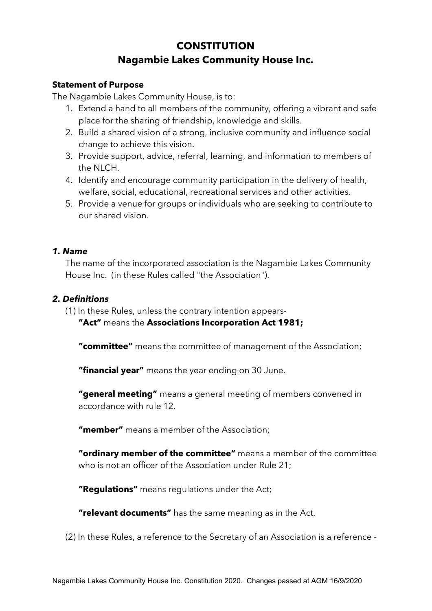# **CONSTITUTION Nagambie Lakes Community House Inc.**

# **Statement of Purpose**

The Nagambie Lakes Community House, is to:

- 1. Extend a hand to all members of the community, offering a vibrant and safe place for the sharing of friendship, knowledge and skills.
- 2. Build a shared vision of a strong, inclusive community and influence social change to achieve this vision.
- 3. Provide support, advice, referral, learning, and information to members of the NLCH.
- 4. Identify and encourage community participation in the delivery of health, welfare, social, educational, recreational services and other activities.
- 5. Provide a venue for groups or individuals who are seeking to contribute to our shared vision.

#### *1. Name*

The name of the incorporated association is the Nagambie Lakes Community House Inc. (in these Rules called "the Association").

## *2. Definitions*

(1) In these Rules, unless the contrary intention appears-

**"Act"** means the **Associations Incorporation Act 1981;**

**"committee"** means the committee of management of the Association;

**"financial year"** means the year ending on 30 June.

**"general meeting"** means a general meeting of members convened in accordance with rule 12.

**"member"** means a member of the Association;

**"ordinary member of the committee"** means a member of the committee who is not an officer of the Association under Rule 21:

**"Regulations"** means regulations under the Act;

**"relevant documents"** has the same meaning as in the Act.

(2) In these Rules, a reference to the Secretary of an Association is a reference -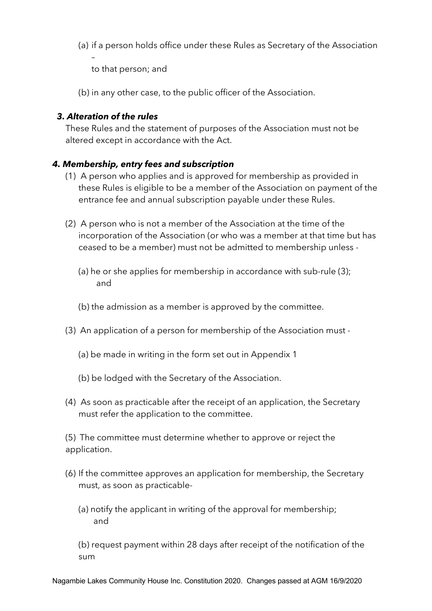(a) if a person holds office under these Rules as Secretary of the Association

to that person; and

(b) in any other case, to the public officer of the Association.

# *3. Alteration of the rules*

–

These Rules and the statement of purposes of the Association must not be altered except in accordance with the Act.

# *4. Membership, entry fees and subscription*

- (1) A person who applies and is approved for membership as provided in these Rules is eligible to be a member of the Association on payment of the entrance fee and annual subscription payable under these Rules.
- (2) A person who is not a member of the Association at the time of the incorporation of the Association (or who was a member at that time but has ceased to be a member) must not be admitted to membership unless -
	- (a) he or she applies for membership in accordance with sub-rule (3); and
	- (b) the admission as a member is approved by the committee.
- (3) An application of a person for membership of the Association must
	- (a) be made in writing in the form set out in Appendix 1
	- (b) be lodged with the Secretary of the Association.
- (4) As soon as practicable after the receipt of an application, the Secretary must refer the application to the committee.

(5) The committee must determine whether to approve or reject the application.

- (6) If the committee approves an application for membership, the Secretary must, as soon as practicable-
	- (a) notify the applicant in writing of the approval for membership; and

(b) request payment within 28 days after receipt of the notification of the sum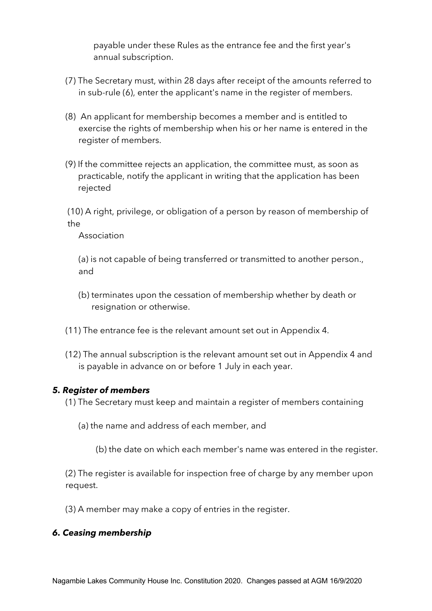payable under these Rules as the entrance fee and the first year's annual subscription.

- (7) The Secretary must, within 28 days after receipt of the amounts referred to in sub-rule (6), enter the applicant's name in the register of members.
- (8) An applicant for membership becomes a member and is entitled to exercise the rights of membership when his or her name is entered in the register of members.
- (9) If the committee rejects an application, the committee must, as soon as practicable, notify the applicant in writing that the application has been rejected

(10) A right, privilege, or obligation of a person by reason of membership of the

Association

(a) is not capable of being transferred or transmitted to another person., and

- (b) terminates upon the cessation of membership whether by death or resignation or otherwise.
- (11) The entrance fee is the relevant amount set out in Appendix 4.
- (12) The annual subscription is the relevant amount set out in Appendix 4 and is payable in advance on or before 1 July in each year.

## *5. Register of members*

- (1) The Secretary must keep and maintain a register of members containing
	- (a) the name and address of each member, and
		- (b) the date on which each member's name was entered in the register.

(2) The register is available for inspection free of charge by any member upon request.

(3) A member may make a copy of entries in the register.

# *6. Ceasing membership*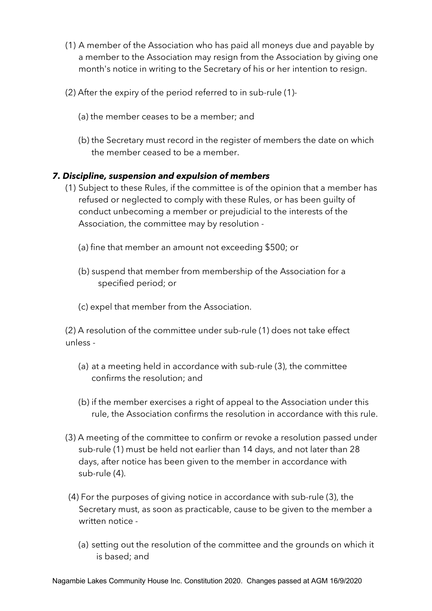- (1) A member of the Association who has paid all moneys due and payable by a member to the Association may resign from the Association by giving one month's notice in writing to the Secretary of his or her intention to resign.
- (2) After the expiry of the period referred to in sub-rule (1)-
	- (a) the member ceases to be a member; and
	- (b) the Secretary must record in the register of members the date on which the member ceased to be a member.

# *7. Discipline, suspension and expulsion of members*

- (1) Subject to these Rules, if the committee is of the opinion that a member has refused or neglected to comply with these Rules, or has been guilty of conduct unbecoming a member or prejudicial to the interests of the Association, the committee may by resolution -
	- (a) fine that member an amount not exceeding \$500; or
	- (b) suspend that member from membership of the Association for a specified period; or
	- (c) expel that member from the Association.

(2) A resolution of the committee under sub-rule (1) does not take effect unless -

- (a) at a meeting held in accordance with sub-rule (3), the committee confirms the resolution; and
- (b) if the member exercises a right of appeal to the Association under this rule, the Association confirms the resolution in accordance with this rule.
- (3) A meeting of the committee to confirm or revoke a resolution passed under sub-rule (1) must be held not earlier than 14 days, and not later than 28 days, after notice has been given to the member in accordance with sub-rule (4).
- (4) For the purposes of giving notice in accordance with sub-rule (3), the Secretary must, as soon as practicable, cause to be given to the member a written notice -
	- (a) setting out the resolution of the committee and the grounds on which it is based; and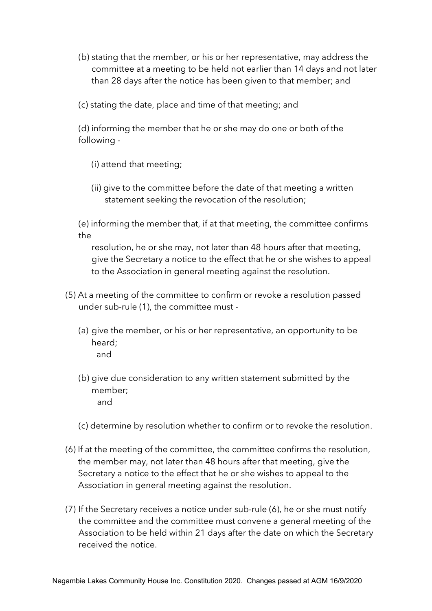- (b) stating that the member, or his or her representative, may address the committee at a meeting to be held not earlier than 14 days and not later than 28 days after the notice has been given to that member; and
- (c) stating the date, place and time of that meeting; and

(d) informing the member that he or she may do one or both of the following -

- (i) attend that meeting;
- (ii) give to the committee before the date of that meeting a written statement seeking the revocation of the resolution;

(e) informing the member that, if at that meeting, the committee confirms the

resolution, he or she may, not later than 48 hours after that meeting, give the Secretary a notice to the effect that he or she wishes to appeal to the Association in general meeting against the resolution.

- (5) At a meeting of the committee to confirm or revoke a resolution passed under sub-rule (1), the committee must -
	- (a) give the member, or his or her representative, an opportunity to be heard; and
	- (b) give due consideration to any written statement submitted by the member; and
	- (c) determine by resolution whether to confirm or to revoke the resolution.
- (6) If at the meeting of the committee, the committee confirms the resolution, the member may, not later than 48 hours after that meeting, give the Secretary a notice to the effect that he or she wishes to appeal to the Association in general meeting against the resolution.
- (7) If the Secretary receives a notice under sub-rule (6), he or she must notify the committee and the committee must convene a general meeting of the Association to be held within 21 days after the date on which the Secretary received the notice.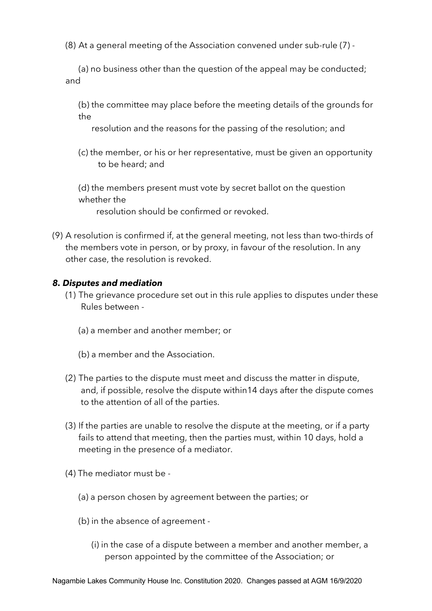(8) At a general meeting of the Association convened under sub-rule (7) -

(a) no business other than the question of the appeal may be conducted; and

(b) the committee may place before the meeting details of the grounds for the

resolution and the reasons for the passing of the resolution; and

- (c) the member, or his or her representative, must be given an opportunity to be heard; and
- (d) the members present must vote by secret ballot on the question whether the

resolution should be confirmed or revoked.

(9) A resolution is confirmed if, at the general meeting, not less than two-thirds of the members vote in person, or by proxy, in favour of the resolution. In any other case, the resolution is revoked.

## *8. Disputes and mediation*

- (1) The grievance procedure set out in this rule applies to disputes under these Rules between -
	- (a) a member and another member; or
	- (b) a member and the Association.
- (2) The parties to the dispute must meet and discuss the matter in dispute, and, if possible, resolve the dispute within14 days after the dispute comes to the attention of all of the parties.
- (3) If the parties are unable to resolve the dispute at the meeting, or if a party fails to attend that meeting, then the parties must, within 10 days, hold a meeting in the presence of a mediator.
- (4) The mediator must be
	- (a) a person chosen by agreement between the parties; or
	- (b) in the absence of agreement
		- (i) in the case of a dispute between a member and another member, a person appointed by the committee of the Association; or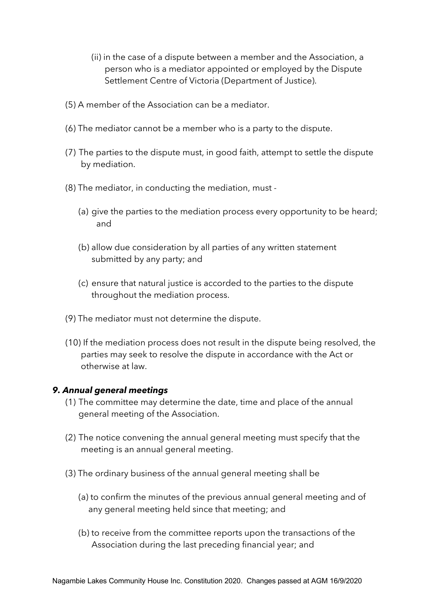- (ii) in the case of a dispute between a member and the Association, a person who is a mediator appointed or employed by the Dispute Settlement Centre of Victoria (Department of Justice).
- (5) A member of the Association can be a mediator.
- (6) The mediator cannot be a member who is a party to the dispute.
- (7) The parties to the dispute must, in good faith, attempt to settle the dispute by mediation.
- (8) The mediator, in conducting the mediation, must
	- (a) give the parties to the mediation process every opportunity to be heard; and
	- (b) allow due consideration by all parties of any written statement submitted by any party; and
	- (c) ensure that natural justice is accorded to the parties to the dispute throughout the mediation process.
- (9) The mediator must not determine the dispute.
- (10) If the mediation process does not result in the dispute being resolved, the parties may seek to resolve the dispute in accordance with the Act or otherwise at law.

#### *9. Annual general meetings*

- (1) The committee may determine the date, time and place of the annual general meeting of the Association.
- (2) The notice convening the annual general meeting must specify that the meeting is an annual general meeting.
- (3) The ordinary business of the annual general meeting shall be
	- (a) to confirm the minutes of the previous annual general meeting and of any general meeting held since that meeting; and
	- (b) to receive from the committee reports upon the transactions of the Association during the last preceding financial year; and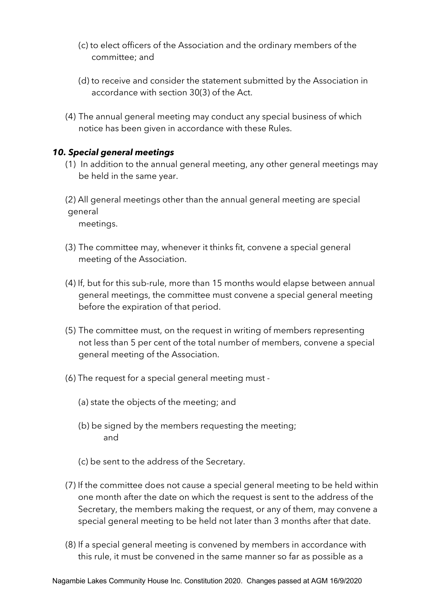- (c) to elect officers of the Association and the ordinary members of the committee; and
- (d) to receive and consider the statement submitted by the Association in accordance with section 30(3) of the Act.
- (4) The annual general meeting may conduct any special business of which notice has been given in accordance with these Rules.

# *10. Special general meetings*

- (1) In addition to the annual general meeting, any other general meetings may be held in the same year.
- (2) All general meetings other than the annual general meeting are special general

meetings.

- (3) The committee may, whenever it thinks fit, convene a special general meeting of the Association.
- (4) If, but for this sub-rule, more than 15 months would elapse between annual general meetings, the committee must convene a special general meeting before the expiration of that period.
- (5) The committee must, on the request in writing of members representing not less than 5 per cent of the total number of members, convene a special general meeting of the Association.
- (6) The request for a special general meeting must
	- (a) state the objects of the meeting; and
	- (b) be signed by the members requesting the meeting; and
	- (c) be sent to the address of the Secretary.
- (7) If the committee does not cause a special general meeting to be held within one month after the date on which the request is sent to the address of the Secretary, the members making the request, or any of them, may convene a special general meeting to be held not later than 3 months after that date.
- (8) If a special general meeting is convened by members in accordance with this rule, it must be convened in the same manner so far as possible as a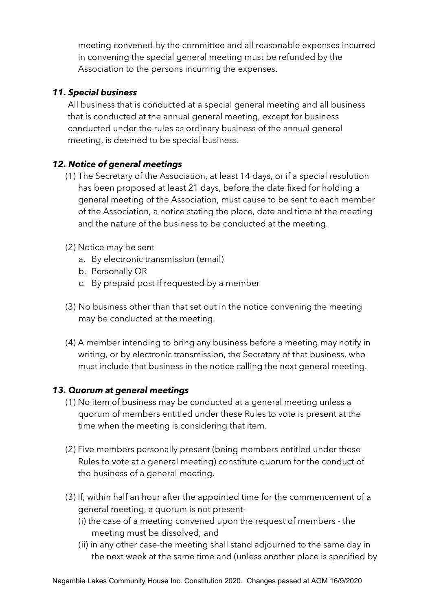meeting convened by the committee and all reasonable expenses incurred in convening the special general meeting must be refunded by the Association to the persons incurring the expenses.

# *11. Special business*

All business that is conducted at a special general meeting and all business that is conducted at the annual general meeting, except for business conducted under the rules as ordinary business of the annual general meeting, is deemed to be special business.

# *12. Notice of general meetings*

- (1) The Secretary of the Association, at least 14 days, or if a special resolution has been proposed at least 21 days, before the date fixed for holding a general meeting of the Association, must cause to be sent to each member of the Association, a notice stating the place, date and time of the meeting and the nature of the business to be conducted at the meeting.
- (2) Notice may be sent
	- a. By electronic transmission (email)
	- b. Personally OR
	- c. By prepaid post if requested by a member
- (3) No business other than that set out in the notice convening the meeting may be conducted at the meeting.
- (4) A member intending to bring any business before a meeting may notify in writing, or by electronic transmission, the Secretary of that business, who must include that business in the notice calling the next general meeting.

# *13. Quorum at general meetings*

- (1) No item of business may be conducted at a general meeting unless a quorum of members entitled under these Rules to vote is present at the time when the meeting is considering that item.
- (2) Five members personally present (being members entitled under these Rules to vote at a general meeting) constitute quorum for the conduct of the business of a general meeting.
- (3) If, within half an hour after the appointed time for the commencement of a general meeting, a quorum is not present-
	- (i) the case of a meeting convened upon the request of members the meeting must be dissolved; and
	- (ii) in any other case-the meeting shall stand adjourned to the same day in the next week at the same time and (unless another place is specified by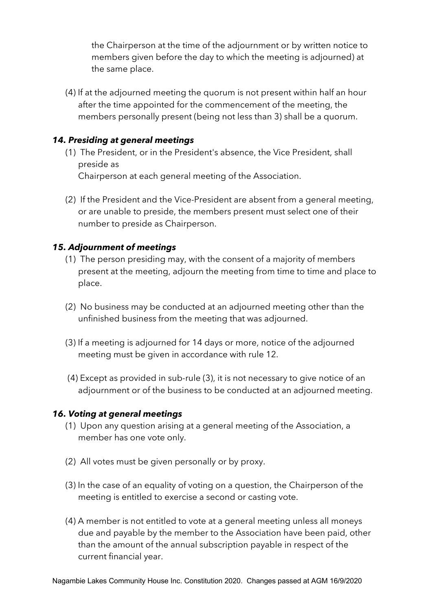the Chairperson at the time of the adjournment or by written notice to members given before the day to which the meeting is adjourned) at the same place.

(4) If at the adjourned meeting the quorum is not present within half an hour after the time appointed for the commencement of the meeting, the members personally present (being not less than 3) shall be a quorum.

# *14. Presiding at general meetings*

- (1) The President, or in the President's absence, the Vice President, shall preside as Chairperson at each general meeting of the Association.
- (2) If the President and the Vice-President are absent from a general meeting, or are unable to preside, the members present must select one of their number to preside as Chairperson.

# *15. Adjournment of meetings*

- (1) The person presiding may, with the consent of a majority of members present at the meeting, adjourn the meeting from time to time and place to place.
- (2) No business may be conducted at an adjourned meeting other than the unfinished business from the meeting that was adjourned.
- (3) If a meeting is adjourned for 14 days or more, notice of the adjourned meeting must be given in accordance with rule 12.
- (4) Except as provided in sub-rule (3), it is not necessary to give notice of an adjournment or of the business to be conducted at an adjourned meeting.

## *16. Voting at general meetings*

- (1) Upon any question arising at a general meeting of the Association, a member has one vote only.
- (2) All votes must be given personally or by proxy.
- (3) In the case of an equality of voting on a question, the Chairperson of the meeting is entitled to exercise a second or casting vote.
- (4) A member is not entitled to vote at a general meeting unless all moneys due and payable by the member to the Association have been paid, other than the amount of the annual subscription payable in respect of the current financial year.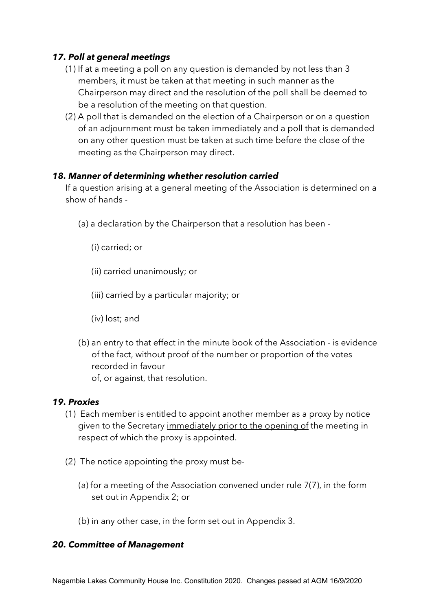# *17. Poll at general meetings*

- (1) If at a meeting a poll on any question is demanded by not less than 3 members, it must be taken at that meeting in such manner as the Chairperson may direct and the resolution of the poll shall be deemed to be a resolution of the meeting on that question.
- (2) A poll that is demanded on the election of a Chairperson or on a question of an adjournment must be taken immediately and a poll that is demanded on any other question must be taken at such time before the close of the meeting as the Chairperson may direct.

## *18. Manner of determining whether resolution carried*

If a question arising at a general meeting of the Association is determined on a show of hands -

- (a) a declaration by the Chairperson that a resolution has been
	- (i) carried; or
	- (ii) carried unanimously; or
	- (iii) carried by a particular majority; or
	- (iv) lost; and
- (b) an entry to that effect in the minute book of the Association is evidence of the fact, without proof of the number or proportion of the votes recorded in favour of, or against, that resolution.

## *19. Proxies*

- (1) Each member is entitled to appoint another member as a proxy by notice given to the Secretary immediately prior to the opening of the meeting in respect of which the proxy is appointed.
- (2) The notice appointing the proxy must be-
	- (a) for a meeting of the Association convened under rule 7(7), in the form set out in Appendix 2; or
	- (b) in any other case, in the form set out in Appendix 3.

## *20. Committee of Management*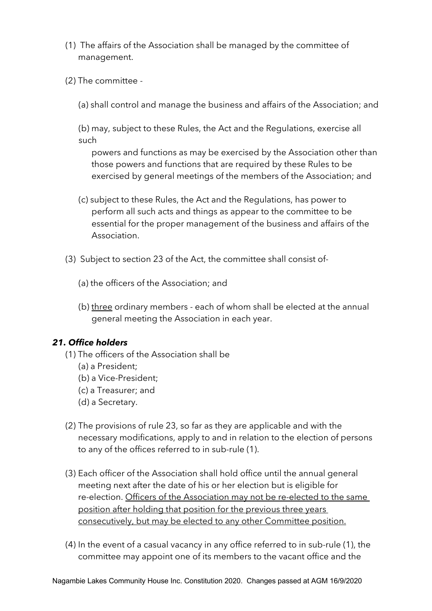- (1) The affairs of the Association shall be managed by the committee of management.
- (2) The committee -

(a) shall control and manage the business and affairs of the Association; and

(b) may, subject to these Rules, the Act and the Regulations, exercise all such

powers and functions as may be exercised by the Association other than those powers and functions that are required by these Rules to be exercised by general meetings of the members of the Association; and

- (c) subject to these Rules, the Act and the Regulations, has power to perform all such acts and things as appear to the committee to be essential for the proper management of the business and affairs of the Association.
- (3) Subject to section 23 of the Act, the committee shall consist of-
	- (a) the officers of the Association; and
	- (b) three ordinary members each of whom shall be elected at the annual general meeting the Association in each year.

#### *21. Office holders*

- (1) The officers of the Association shall be
	- (a) a President;
	- (b) a Vice-President;
	- (c) a Treasurer; and
	- (d) a Secretary.
- (2) The provisions of rule 23, so far as they are applicable and with the necessary modifications, apply to and in relation to the election of persons to any of the offices referred to in sub-rule (1).
- (3) Each officer of the Association shall hold office until the annual general meeting next after the date of his or her election but is eligible for re-election. Officers of the Association may not be re-elected to the same position after holding that position for the previous three years consecutively, but may be elected to any other Committee position.
- (4) In the event of a casual vacancy in any office referred to in sub-rule (1), the committee may appoint one of its members to the vacant office and the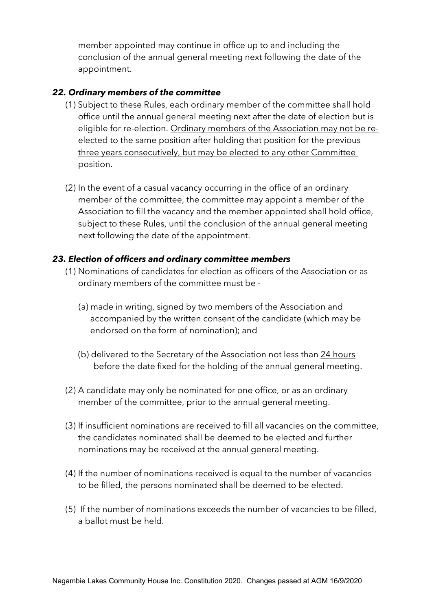member appointed may continue in office up to and including the conclusion of the annual general meeting next following the date of the appointment.

# *22. Ordinary members of the committee*

- (1) Subject to these Rules, each ordinary member of the committee shall hold office until the annual general meeting next after the date of election but is eligible for re-election. Ordinary members of the Association may not be reelected to the same position after holding that position for the previous three years consecutively, but may be elected to any other Committee position.
- (2) In the event of a casual vacancy occurring in the office of an ordinary member of the committee, the committee may appoint a member of the Association to fill the vacancy and the member appointed shall hold office, subject to these Rules, until the conclusion of the annual general meeting next following the date of the appointment.

# *23. Election of officers and ordinary committee members*

- (1) Nominations of candidates for election as officers of the Association or as ordinary members of the committee must be -
	- (a) made in writing, signed by two members of the Association and accompanied by the written consent of the candidate (which may be endorsed on the form of nomination); and
	- (b) delivered to the Secretary of the Association not less than 24 hours before the date fixed for the holding of the annual general meeting.
- (2) A candidate may only be nominated for one office, or as an ordinary member of the committee, prior to the annual general meeting.
- (3) If insufficient nominations are received to fill all vacancies on the committee, the candidates nominated shall be deemed to be elected and further nominations may be received at the annual general meeting.
- (4) If the number of nominations received is equal to the number of vacancies to be filled, the persons nominated shall be deemed to be elected.
- (5) If the number of nominations exceeds the number of vacancies to be filled, a ballot must be held.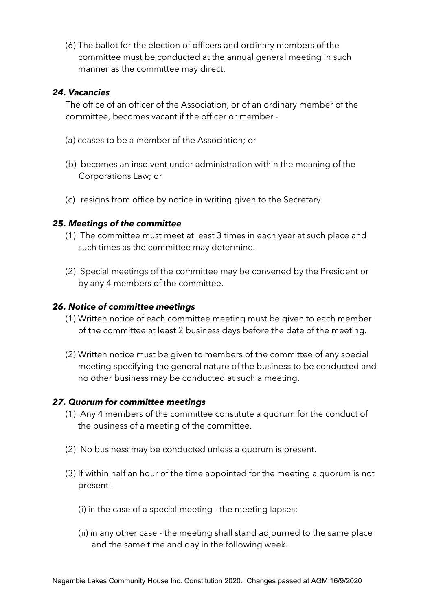(6) The ballot for the election of officers and ordinary members of the committee must be conducted at the annual general meeting in such manner as the committee may direct.

#### *24. Vacancies*

The office of an officer of the Association, or of an ordinary member of the committee, becomes vacant if the officer or member -

- (a) ceases to be a member of the Association; or
- (b) becomes an insolvent under administration within the meaning of the Corporations Law; or
- (c) resigns from office by notice in writing given to the Secretary.

#### *25. Meetings of the committee*

- (1) The committee must meet at least 3 times in each year at such place and such times as the committee may determine.
- (2) Special meetings of the committee may be convened by the President or by any 4 members of the committee.

#### *26. Notice of committee meetings*

- (1) Written notice of each committee meeting must be given to each member of the committee at least 2 business days before the date of the meeting.
- (2) Written notice must be given to members of the committee of any special meeting specifying the general nature of the business to be conducted and no other business may be conducted at such a meeting.

## *27. Quorum for committee meetings*

- (1) Any 4 members of the committee constitute a quorum for the conduct of the business of a meeting of the committee.
- (2) No business may be conducted unless a quorum is present.
- (3) If within half an hour of the time appointed for the meeting a quorum is not present -
	- (i) in the case of a special meeting the meeting lapses;
	- (ii) in any other case the meeting shall stand adjourned to the same place and the same time and day in the following week.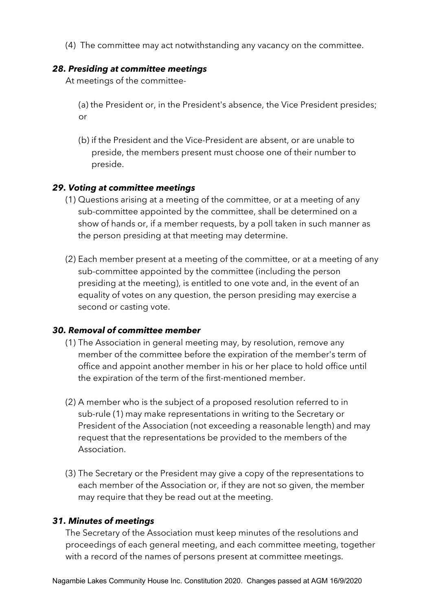(4) The committee may act notwithstanding any vacancy on the committee.

## *28. Presiding at committee meetings*

At meetings of the committee-

(a) the President or, in the President's absence, the Vice President presides; or

(b) if the President and the Vice-President are absent, or are unable to preside, the members present must choose one of their number to preside.

## *29. Voting at committee meetings*

- (1) Questions arising at a meeting of the committee, or at a meeting of any sub-committee appointed by the committee, shall be determined on a show of hands or, if a member requests, by a poll taken in such manner as the person presiding at that meeting may determine.
- (2) Each member present at a meeting of the committee, or at a meeting of any sub-committee appointed by the committee (including the person presiding at the meeting), is entitled to one vote and, in the event of an equality of votes on any question, the person presiding may exercise a second or casting vote.

## *30. Removal of committee member*

- (1) The Association in general meeting may, by resolution, remove any member of the committee before the expiration of the member's term of office and appoint another member in his or her place to hold office until the expiration of the term of the first-mentioned member.
- (2) A member who is the subject of a proposed resolution referred to in sub-rule (1) may make representations in writing to the Secretary or President of the Association (not exceeding a reasonable length) and may request that the representations be provided to the members of the Association.
- (3) The Secretary or the President may give a copy of the representations to each member of the Association or, if they are not so given, the member may require that they be read out at the meeting.

## *31. Minutes of meetings*

The Secretary of the Association must keep minutes of the resolutions and proceedings of each general meeting, and each committee meeting, together with a record of the names of persons present at committee meetings.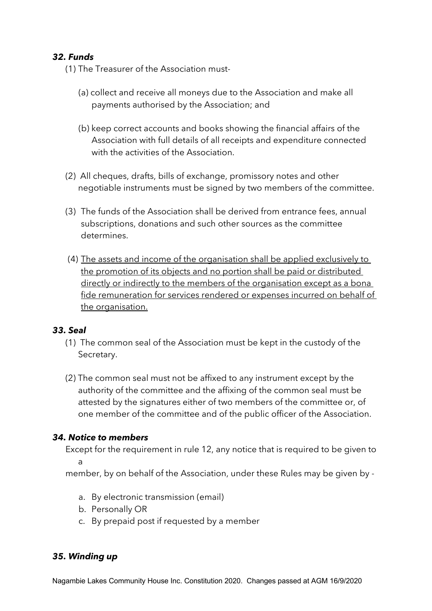# *32. Funds*

- (1) The Treasurer of the Association must-
	- (a) collect and receive all moneys due to the Association and make all payments authorised by the Association; and
	- (b) keep correct accounts and books showing the financial affairs of the Association with full details of all receipts and expenditure connected with the activities of the Association.
- (2) All cheques, drafts, bills of exchange, promissory notes and other negotiable instruments must be signed by two members of the committee.
- (3) The funds of the Association shall be derived from entrance fees, annual subscriptions, donations and such other sources as the committee determines.
- (4) The assets and income of the organisation shall be applied exclusively to the promotion of its objects and no portion shall be paid or distributed directly or indirectly to the members of the organisation except as a bona fide remuneration for services rendered or expenses incurred on behalf of the organisation.

## *33. Seal*

- (1) The common seal of the Association must be kept in the custody of the Secretary.
- (2) The common seal must not be affixed to any instrument except by the authority of the committee and the affixing of the common seal must be attested by the signatures either of two members of the committee or, of one member of the committee and of the public officer of the Association.

## *34. Notice to members*

Except for the requirement in rule 12, any notice that is required to be given to a

member, by on behalf of the Association, under these Rules may be given by -

- a. By electronic transmission (email)
- b. Personally OR
- c. By prepaid post if requested by a member

## *35. Winding up*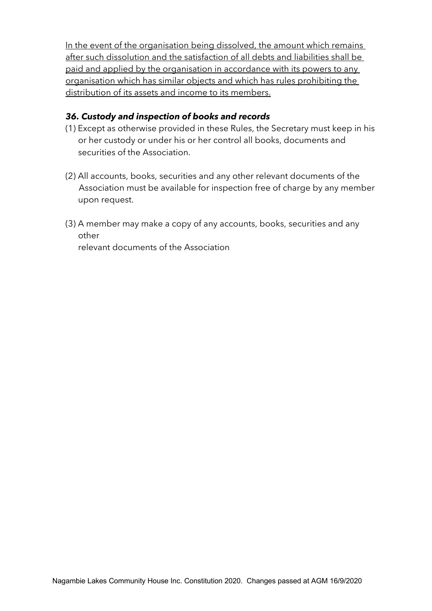In the event of the organisation being dissolved, the amount which remains after such dissolution and the satisfaction of all debts and liabilities shall be paid and applied by the organisation in accordance with its powers to any organisation which has similar objects and which has rules prohibiting the distribution of its assets and income to its members.

# *36. Custody and inspection of books and records*

- (1) Except as otherwise provided in these Rules, the Secretary must keep in his or her custody or under his or her control all books, documents and securities of the Association.
- (2) All accounts, books, securities and any other relevant documents of the Association must be available for inspection free of charge by any member upon request.
- (3) A member may make a copy of any accounts, books, securities and any other

relevant documents of the Association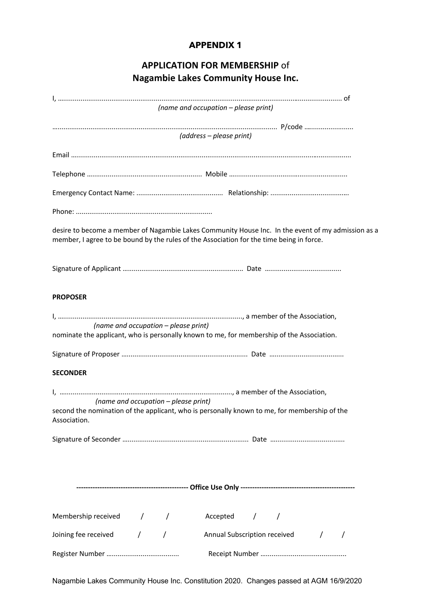# **APPLICATION FOR MEMBERSHIP** of **Nagambie Lakes Community House Inc.**

|                                                                                                                                                                                                | (name and occupation - please print)       |  |  |  |
|------------------------------------------------------------------------------------------------------------------------------------------------------------------------------------------------|--------------------------------------------|--|--|--|
|                                                                                                                                                                                                |                                            |  |  |  |
|                                                                                                                                                                                                | (address – please print)                   |  |  |  |
|                                                                                                                                                                                                |                                            |  |  |  |
|                                                                                                                                                                                                |                                            |  |  |  |
|                                                                                                                                                                                                |                                            |  |  |  |
|                                                                                                                                                                                                |                                            |  |  |  |
|                                                                                                                                                                                                |                                            |  |  |  |
|                                                                                                                                                                                                |                                            |  |  |  |
| desire to become a member of Nagambie Lakes Community House Inc. In the event of my admission as a<br>member, I agree to be bound by the rules of the Association for the time being in force. |                                            |  |  |  |
|                                                                                                                                                                                                |                                            |  |  |  |
|                                                                                                                                                                                                |                                            |  |  |  |
| <b>PROPOSER</b>                                                                                                                                                                                |                                            |  |  |  |
|                                                                                                                                                                                                |                                            |  |  |  |
| (name and occupation - please print)                                                                                                                                                           |                                            |  |  |  |
| nominate the applicant, who is personally known to me, for membership of the Association.                                                                                                      |                                            |  |  |  |
|                                                                                                                                                                                                |                                            |  |  |  |
| <b>SECONDER</b>                                                                                                                                                                                |                                            |  |  |  |
|                                                                                                                                                                                                |                                            |  |  |  |
| (name and occupation - please print)                                                                                                                                                           |                                            |  |  |  |
| second the nomination of the applicant, who is personally known to me, for membership of the<br>Association.                                                                                   |                                            |  |  |  |
|                                                                                                                                                                                                |                                            |  |  |  |
|                                                                                                                                                                                                |                                            |  |  |  |
|                                                                                                                                                                                                |                                            |  |  |  |
|                                                                                                                                                                                                |                                            |  |  |  |
|                                                                                                                                                                                                |                                            |  |  |  |
|                                                                                                                                                                                                |                                            |  |  |  |
|                                                                                                                                                                                                |                                            |  |  |  |
| Membership received / /                                                                                                                                                                        | Accepted / /                               |  |  |  |
| Joining fee received / /                                                                                                                                                                       | Annual Subscription received /<br>$\prime$ |  |  |  |
|                                                                                                                                                                                                |                                            |  |  |  |
|                                                                                                                                                                                                |                                            |  |  |  |

Nagambie Lakes Community House Inc. Constitution 2020. Changes passed at AGM 16/9/2020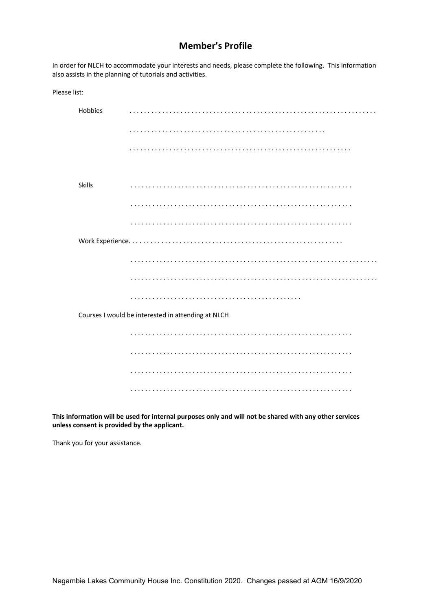#### **Member's Profile**

In order for NLCH to accommodate your interests and needs, please complete the following. This information also assists in the planning of tutorials and activities.

| Please list:                                       |         |   |
|----------------------------------------------------|---------|---|
|                                                    | Hobbies | . |
|                                                    |         |   |
|                                                    |         |   |
|                                                    |         |   |
|                                                    | Skills  | . |
|                                                    |         |   |
|                                                    |         |   |
|                                                    |         |   |
|                                                    |         |   |
|                                                    |         |   |
|                                                    |         | . |
| Courses I would be interested in attending at NLCH |         |   |
|                                                    |         |   |
|                                                    |         |   |
|                                                    |         |   |
|                                                    |         |   |

**This information will be used for internal purposes only and will not be shared with any other services unless consent is provided by the applicant.**

Thank you for your assistance.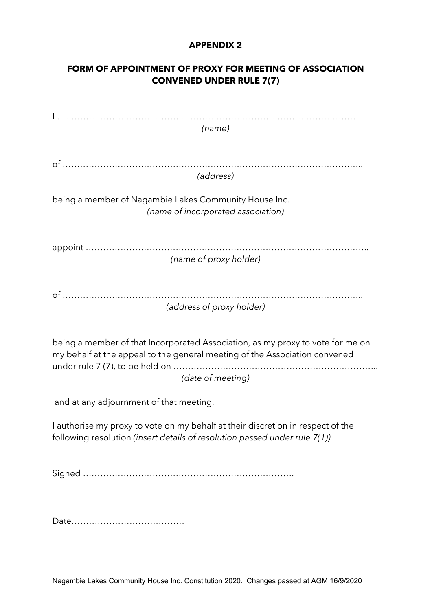# **FORM OF APPOINTMENT OF PROXY FOR MEETING OF ASSOCIATION CONVENED UNDER RULE 7(7)**

| (name)                                                                                                                                                                            |
|-----------------------------------------------------------------------------------------------------------------------------------------------------------------------------------|
|                                                                                                                                                                                   |
| (address)                                                                                                                                                                         |
| being a member of Nagambie Lakes Community House Inc.<br>(name of incorporated association)                                                                                       |
| (name of proxy holder)                                                                                                                                                            |
|                                                                                                                                                                                   |
| (address of proxy holder)                                                                                                                                                         |
| being a member of that Incorporated Association, as my proxy to vote for me on<br>my behalf at the appeal to the general meeting of the Association convened<br>(date of meeting) |
| and at any adjournment of that meeting.                                                                                                                                           |
| I authorise my proxy to vote on my behalf at their discretion in respect of the<br>following resolution (insert details of resolution passed under rule 7(1))                     |
|                                                                                                                                                                                   |
|                                                                                                                                                                                   |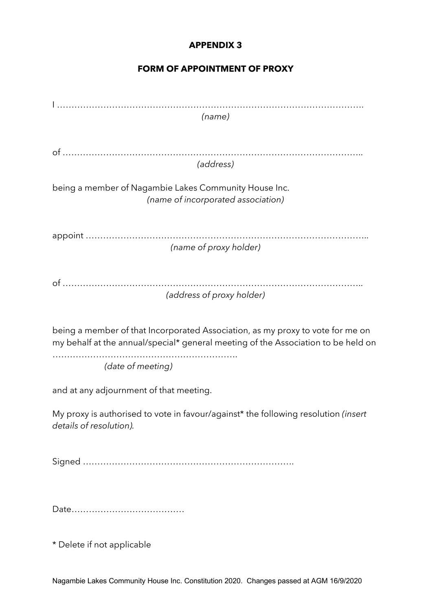# **FORM OF APPOINTMENT OF PROXY**

| (name)                                                                             |
|------------------------------------------------------------------------------------|
|                                                                                    |
|                                                                                    |
| (address)                                                                          |
|                                                                                    |
| being a member of Nagambie Lakes Community House Inc.                              |
| (name of incorporated association)                                                 |
|                                                                                    |
|                                                                                    |
| (name of proxy holder)                                                             |
|                                                                                    |
|                                                                                    |
| (address of proxy holder)                                                          |
|                                                                                    |
|                                                                                    |
| being a member of that Incorporated Association, as my proxy to vote for me on     |
| my behalf at the annual/special* general meeting of the Association to be held on  |
| (date of meeting)                                                                  |
|                                                                                    |
| and at any adjournment of that meeting.                                            |
| My proxy is authorised to vote in favour/against* the following resolution (insert |
| details of resolution).                                                            |
|                                                                                    |
|                                                                                    |
|                                                                                    |
|                                                                                    |
|                                                                                    |
|                                                                                    |
|                                                                                    |

\* Delete if not applicable